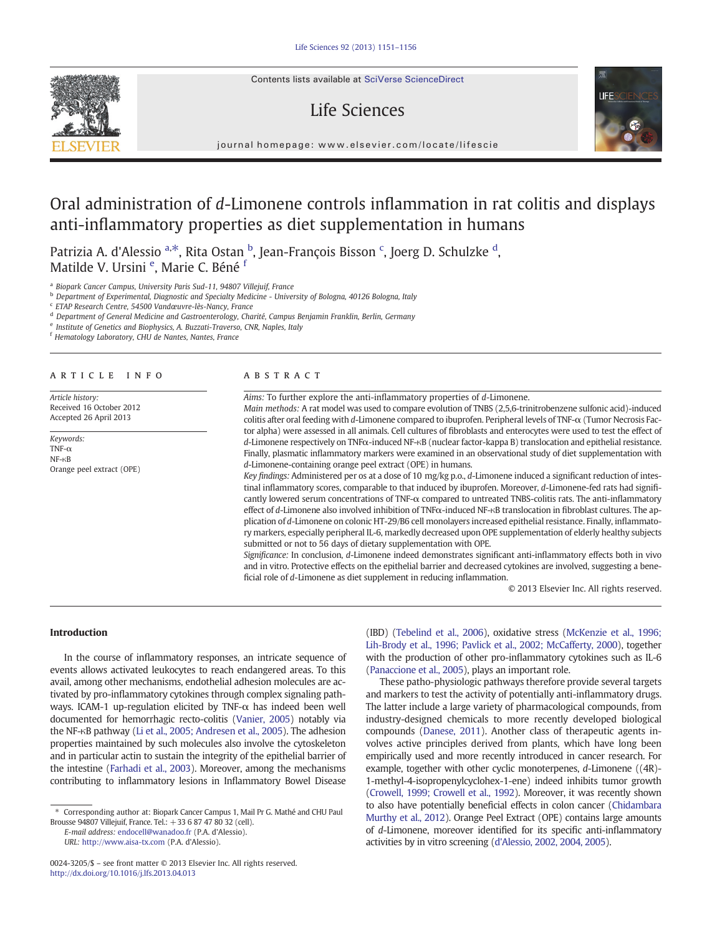Contents lists available at SciVerse ScienceDirect

# Life Sciences



journal homepage: www.elsevier.com/locate/lifescie

# Oral administration of d-Limonene controls inflammation in rat colitis and displays anti-inflammatory properties as diet supplementation in humans

Patrizia A. d'Alessio <sup>a,\*</sup>, Rita Ostan <sup>b</sup>, Jean-François Bisson <sup>c</sup>, Joerg D. Schulzke <sup>d</sup>, Matilde V. Ursini <sup>e</sup>, Marie C. Béné <sup>f</sup>

<sup>a</sup> Biopark Cancer Campus, University Paris Sud-11, 94807 Villejuif, France

**b** Department of Experimental, Diagnostic and Specialty Medicine - University of Bologna, 40126 Bologna, Italy

<sup>c</sup> ETAP Research Centre, 54500 Vandœuvre-lès-Nancy, France

<sup>d</sup> Department of General Medicine and Gastroenterology, Charité, Campus Benjamin Franklin, Berlin, Germany

<sup>e</sup> Institute of Genetics and Biophysics, A. Buzzati-Traverso, CNR, Naples, Italy

<sup>f</sup> Hematology Laboratory, CHU de Nantes, Nantes, France

#### article info abstract

Article history: Received 16 October 2012 Accepted 26 April 2013

Keywords: TNF- $\alpha$ NF-κB Orange peel extract (OPE)

Aims: To further explore the anti-inflammatory properties of d-Limonene.

Main methods: A rat model was used to compare evolution of TNBS (2,5,6-trinitrobenzene sulfonic acid)-induced colitis after oral feeding with d-Limonene compared to ibuprofen. Peripheral levels of TNF-α (Tumor Necrosis Factor alpha) were assessed in all animals. Cell cultures of fibroblasts and enterocytes were used to test the effect of d-Limonene respectively on TNFα-induced NF-κB (nuclear factor-kappa B) translocation and epithelial resistance. Finally, plasmatic inflammatory markers were examined in an observational study of diet supplementation with d-Limonene-containing orange peel extract (OPE) in humans.

Key findings: Administered per os at a dose of 10 mg/kg p.o., d-Limonene induced a significant reduction of intestinal inflammatory scores, comparable to that induced by ibuprofen. Moreover, d-Limonene-fed rats had significantly lowered serum concentrations of TNF-α compared to untreated TNBS-colitis rats. The anti-inflammatory effect of d-Limonene also involved inhibition of TNFα-induced NF-κB translocation in fibroblast cultures. The application of d-Limonene on colonic HT-29/B6 cell monolayers increased epithelial resistance. Finally, inflammatory markers, especially peripheral IL-6, markedly decreased upon OPE supplementation of elderly healthy subjects submitted or not to 56 days of dietary supplementation with OPE.

Significance: In conclusion, d-Limonene indeed demonstrates significant anti-inflammatory effects both in vivo and in vitro. Protective effects on the epithelial barrier and decreased cytokines are involved, suggesting a beneficial role of d-Limonene as diet supplement in reducing inflammation.

© 2013 Elsevier Inc. All rights reserved.

# Introduction

In the course of inflammatory responses, an intricate sequence of events allows activated leukocytes to reach endangered areas. To this avail, among other mechanisms, endothelial adhesion molecules are activated by pro-inflammatory cytokines through complex signaling pathways. ICAM-1 up-regulation elicited by TNF- $\alpha$  has indeed been well documented for hemorrhagic recto-colitis [\(Vanier, 2005](#page-5-0)) notably via the NF-κB pathway ([Li et al., 2005; Andresen et al., 2005\)](#page-5-0). The adhesion properties maintained by such molecules also involve the cytoskeleton and in particular actin to sustain the integrity of the epithelial barrier of the intestine [\(Farhadi et al., 2003\)](#page-5-0). Moreover, among the mechanisms contributing to inflammatory lesions in Inflammatory Bowel Disease

E-mail address: endocell@wanadoo.fr (P.A. d'Alessio).

URL: http://www.aisa-tx.com (P.A. d'Alessio).

(IBD) [\(Tebelind et al., 2006](#page-5-0)), oxidative stress ([McKenzie et al., 1996;](#page-5-0) [Lih-Brody et al., 1996; Pavlick](#page-5-0) et al., 2002; McCafferty, 2000), together with the production of other pro-inflammatory cytokines such as IL-6 [\(Panaccione et al., 2005](#page-5-0)), plays an important role.

These patho-physiologic pathways therefore provide several targets and markers to test the activity of potentially anti-inflammatory drugs. The latter include a large variety of pharmacological compounds, from industry-designed chemicals to more recently developed biological compounds [\(Danese, 2011](#page-5-0)). Another class of therapeutic agents involves active principles derived from plants, which have long been empirically used and more recently introduced in cancer research. For example, together with other cyclic monoterpenes, d-Limonene ((4R)- 1-methyl-4-isopropenylcyclohex-1-ene) indeed inhibits tumor growth [\(Crowell, 1999; Crowell et al., 1992\)](#page-5-0). Moreover, it was recently shown to also have potentially beneficial effects in colon cancer [\(Chidambara](#page-5-0) [Murthy et al., 2012\)](#page-5-0). Orange Peel Extract (OPE) contains large amounts of d-Limonene, moreover identified for its specific anti-inflammatory activities by in vitro screening [\(d'Alessio, 2002, 2004, 2005\)](#page-5-0).

<sup>⁎</sup> Corresponding author at: Biopark Cancer Campus 1, Mail Pr G. Mathé and CHU Paul Brousse 94807 Villejuif, France. Tel.: +33 6 87 47 80 32 (cell).

<sup>0024-3205/\$</sup> – see front matter © 2013 Elsevier Inc. All rights reserved. http://dx.doi.org/10.1016/j.lfs.2013.04.013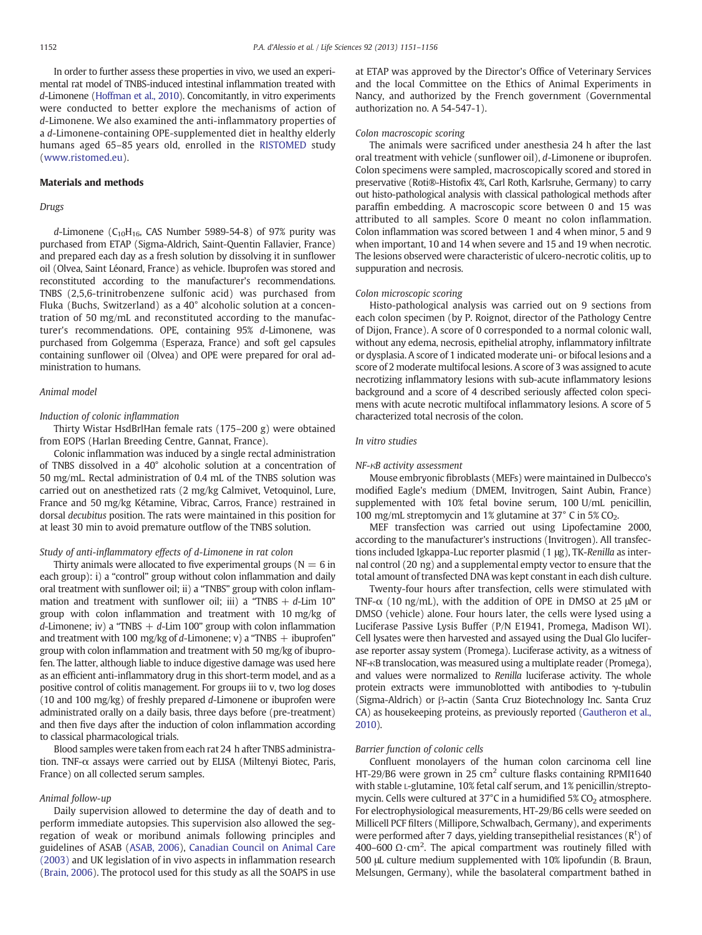<span id="page-1-0"></span>In order to further assess these properties in vivo, we used an experimental rat model of TNBS-induced intestinal inflammation treated with d-Limonene [\(Hoffman et al., 2010\)](#page-5-0). Concomitantly, in vitro experiments were conducted to better explore the mechanisms of action of d-Limonene. We also examined the anti-inflammatory properties of a d-Limonene-containing OPE-supplemented diet in healthy elderly humans aged 65–85 years old, enrolled in the [RISTOMED](#page-5-0) study (www.ristomed.eu).

# Materials and methods

#### Drugs

d-Limonene ( $C_{10}H_{16}$ , CAS Number 5989-54-8) of 97% purity was purchased from ETAP (Sigma-Aldrich, Saint-Quentin Fallavier, France) and prepared each day as a fresh solution by dissolving it in sunflower oil (Olvea, Saint Léonard, France) as vehicle. Ibuprofen was stored and reconstituted according to the manufacturer's recommendations. TNBS (2,5,6-trinitrobenzene sulfonic acid) was purchased from Fluka (Buchs, Switzerland) as a 40° alcoholic solution at a concentration of 50 mg/mL and reconstituted according to the manufacturer's recommendations. OPE, containing 95% d-Limonene, was purchased from Golgemma (Esperaza, France) and soft gel capsules containing sunflower oil (Olvea) and OPE were prepared for oral administration to humans.

# Animal model

# Induction of colonic inflammation

Thirty Wistar HsdBrlHan female rats (175–200 g) were obtained from EOPS (Harlan Breeding Centre, Gannat, France).

Colonic inflammation was induced by a single rectal administration of TNBS dissolved in a 40° alcoholic solution at a concentration of 50 mg/mL. Rectal administration of 0.4 mL of the TNBS solution was carried out on anesthetized rats (2 mg/kg Calmivet, Vetoquinol, Lure, France and 50 mg/kg Kétamine, Vibrac, Carros, France) restrained in dorsal decubitus position. The rats were maintained in this position for at least 30 min to avoid premature outflow of the TNBS solution.

#### Study of anti-inflammatory effects of d-Limonene in rat colon

Thirty animals were allocated to five experimental groups ( $N = 6$  in each group): i) a "control" group without colon inflammation and daily oral treatment with sunflower oil; ii) a "TNBS" group with colon inflammation and treatment with sunflower oil; iii) a "TNBS  $+ d$ -Lim 10" group with colon inflammation and treatment with 10 mg/kg of d-Limonene; iv) a "TNBS  $+$  d-Lim 100" group with colon inflammation and treatment with 100 mg/kg of d-Limonene; v) a "TNBS  $+$  ibuprofen" group with colon inflammation and treatment with 50 mg/kg of ibuprofen. The latter, although liable to induce digestive damage was used here as an efficient anti-inflammatory drug in this short-term model, and as a positive control of colitis management. For groups iii to v, two log doses (10 and 100 mg/kg) of freshly prepared d-Limonene or ibuprofen were administrated orally on a daily basis, three days before (pre-treatment) and then five days after the induction of colon inflammation according to classical pharmacological trials.

Blood samples were taken from each rat 24 h after TNBS administration. TNF-α assays were carried out by ELISA (Miltenyi Biotec, Paris, France) on all collected serum samples.

#### Animal follow-up

Daily supervision allowed to determine the day of death and to perform immediate autopsies. This supervision also allowed the segregation of weak or moribund animals following principles and guidelines of ASAB ([ASAB, 2006](#page-5-0)), [Canadian Council on Animal Care](#page-5-0) [\(2003\)](#page-5-0) and UK legislation of in vivo aspects in inflammation research [\(Brain, 2006\)](#page-5-0). The protocol used for this study as all the SOAPS in use at ETAP was approved by the Director's Office of Veterinary Services and the local Committee on the Ethics of Animal Experiments in Nancy, and authorized by the French government (Governmental authorization no. A 54-547-1).

### Colon macroscopic scoring

The animals were sacrificed under anesthesia 24 h after the last oral treatment with vehicle (sunflower oil), d-Limonene or ibuprofen. Colon specimens were sampled, macroscopically scored and stored in preservative (Roti®-Histofix 4%, Carl Roth, Karlsruhe, Germany) to carry out histo-pathological analysis with classical pathological methods after paraffin embedding. A macroscopic score between 0 and 15 was attributed to all samples. Score 0 meant no colon inflammation. Colon inflammation was scored between 1 and 4 when minor, 5 and 9 when important, 10 and 14 when severe and 15 and 19 when necrotic. The lesions observed were characteristic of ulcero-necrotic colitis, up to suppuration and necrosis.

# Colon microscopic scoring

Histo-pathological analysis was carried out on 9 sections from each colon specimen (by P. Roignot, director of the Pathology Centre of Dijon, France). A score of 0 corresponded to a normal colonic wall, without any edema, necrosis, epithelial atrophy, inflammatory infiltrate or dysplasia. A score of 1 indicated moderate uni- or bifocal lesions and a score of 2 moderate multifocal lesions. A score of 3 was assigned to acute necrotizing inflammatory lesions with sub-acute inflammatory lesions background and a score of 4 described seriously affected colon specimens with acute necrotic multifocal inflammatory lesions. A score of 5 characterized total necrosis of the colon.

#### In vitro studies

#### NF-κB activity assessment

Mouse embryonic fibroblasts (MEFs) were maintained in Dulbecco's modified Eagle's medium (DMEM, Invitrogen, Saint Aubin, France) supplemented with 10% fetal bovine serum, 100 U/mL penicillin, 100 mg/mL streptomycin and 1% glutamine at 37 $^{\circ}$  C in 5% CO<sub>2</sub>.

MEF transfection was carried out using Lipofectamine 2000, according to the manufacturer's instructions (Invitrogen). All transfections included Igkappa-Luc reporter plasmid (1 μg), TK-Renilla as internal control (20 ng) and a supplemental empty vector to ensure that the total amount of transfected DNA was kept constant in each dish culture.

Twenty-four hours after transfection, cells were stimulated with TNF- $\alpha$  (10 ng/mL), with the addition of OPE in DMSO at 25  $\mu$ M or DMSO (vehicle) alone. Four hours later, the cells were lysed using a Luciferase Passive Lysis Buffer (P/N E1941, Promega, Madison WI). Cell lysates were then harvested and assayed using the Dual Glo luciferase reporter assay system (Promega). Luciferase activity, as a witness of NF-κB translocation, was measured using a multiplate reader (Promega), and values were normalized to Renilla luciferase activity. The whole protein extracts were immunoblotted with antibodies to  $γ$ -tubulin (Sigma-Aldrich) or β-actin (Santa Cruz Biotechnology Inc. Santa Cruz CA) as housekeeping proteins, as previously reported ([Gautheron et al.,](#page-5-0) [2010](#page-5-0)).

# Barrier function of colonic cells

Confluent monolayers of the human colon carcinoma cell line HT-29/B6 were grown in 25  $\text{cm}^2$  culture flasks containing RPMI1640 with stable L-glutamine, 10% fetal calf serum, and 1% penicillin/streptomycin. Cells were cultured at  $37^{\circ}$ C in a humidified  $5\%$  CO<sub>2</sub> atmosphere. For electrophysiological measurements, HT-29/B6 cells were seeded on Millicell PCF filters (Millipore, Schwalbach, Germany), and experiments were performed after 7 days, yielding transepithelial resistances ( $R<sup>t</sup>$ ) of 400-600 Ω $\cdot$ cm<sup>2</sup>. The apical compartment was routinely filled with 500 μL culture medium supplemented with 10% lipofundin (B. Braun, Melsungen, Germany), while the basolateral compartment bathed in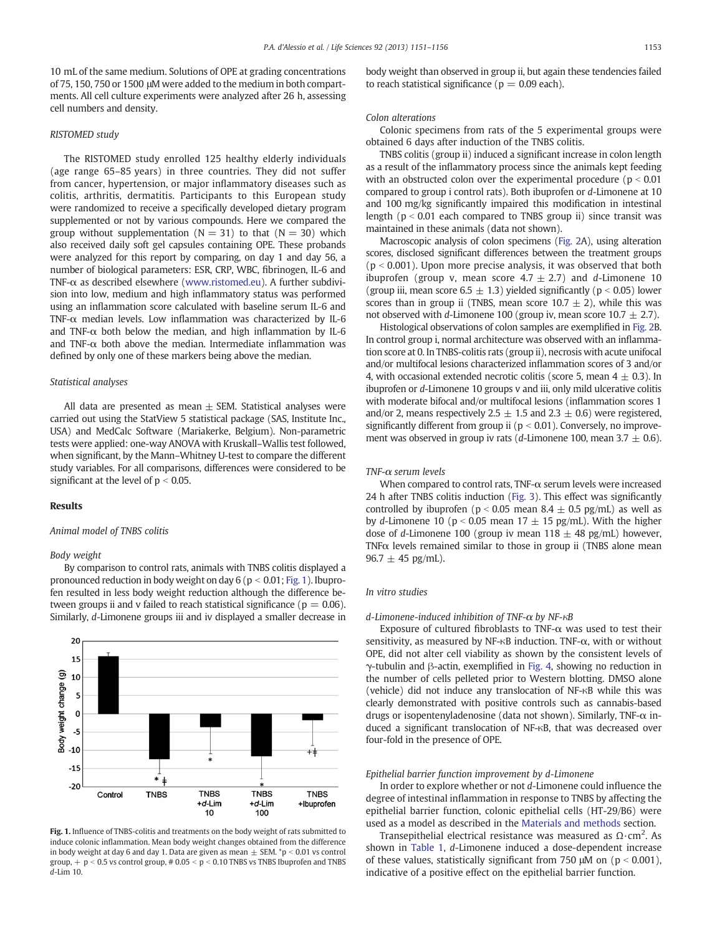10 mL of the same medium. Solutions of OPE at grading concentrations of 75, 150, 750 or 1500 μM were added to the medium in both compartments. All cell culture experiments were analyzed after 26 h, assessing cell numbers and density.

#### RISTOMED study

The RISTOMED study enrolled 125 healthy elderly individuals (age range 65–85 years) in three countries. They did not suffer from cancer, hypertension, or major inflammatory diseases such as colitis, arthritis, dermatitis. Participants to this European study were randomized to receive a specifically developed dietary program supplemented or not by various compounds. Here we compared the group without supplementation ( $N = 31$ ) to that ( $N = 30$ ) which also received daily soft gel capsules containing OPE. These probands were analyzed for this report by comparing, on day 1 and day 56, a number of biological parameters: ESR, CRP, WBC, fibrinogen, IL-6 and TNF-α as described elsewhere (www.ristomed.eu). A further subdivision into low, medium and high inflammatory status was performed using an inflammation score calculated with baseline serum IL-6 and TNF-α median levels. Low inflammation was characterized by IL-6 and TNF- $\alpha$  both below the median, and high inflammation by IL-6 and TNF-α both above the median. Intermediate inflammation was defined by only one of these markers being above the median.

#### Statistical analyses

All data are presented as mean  $\pm$  SEM. Statistical analyses were carried out using the StatView 5 statistical package (SAS, Institute Inc., USA) and MedCalc Software (Mariakerke, Belgium). Non-parametric tests were applied: one-way ANOVA with Kruskall–Wallis test followed, when significant, by the Mann–Whitney U-test to compare the different study variables. For all comparisons, differences were considered to be significant at the level of  $p < 0.05$ .

# Results

# Animal model of TNBS colitis

### Body weight

> 5 O

By comparison to control rats, animals with TNBS colitis displayed a pronounced reduction in body weight on day  $6$  ( $p < 0.01$ ; Fig. 1). Ibuprofen resulted in less body weight reduction although the difference between groups ii and v failed to reach statistical significance ( $p = 0.06$ ). Similarly, d-Limonene groups iii and iv displayed a smaller decrease in



induce colonic inflammation. Mean body weight changes obtained from the difference in body weight at day 6 and day 1. Data are given as mean  $\pm$  SEM.  $*p < 0.01$  vs control group,  $+$  p < 0.5 vs control group, # 0.05 < p < 0.10 TNBS vs TNBS Ibuprofen and TNBS d-Lim 10.

body weight than observed in group ii, but again these tendencies failed to reach statistical significance ( $p = 0.09$  each).

### Colon alterations

Colonic specimens from rats of the 5 experimental groups were obtained 6 days after induction of the TNBS colitis.

TNBS colitis (group ii) induced a significant increase in colon length as a result of the inflammatory process since the animals kept feeding with an obstructed colon over the experimental procedure ( $p < 0.01$ ) compared to group i control rats). Both ibuprofen or d-Limonene at 10 and 100 mg/kg significantly impaired this modification in intestinal length ( $p < 0.01$  each compared to TNBS group ii) since transit was maintained in these animals (data not shown).

Macroscopic analysis of colon specimens [\(Fig. 2](#page-3-0)A), using alteration scores, disclosed significant differences between the treatment groups  $(p < 0.001)$ . Upon more precise analysis, it was observed that both ibuprofen (group v, mean score  $4.7 \pm 2.7$ ) and d-Limonene 10 (group iii, mean score  $6.5 \pm 1.3$ ) yielded significantly ( $p < 0.05$ ) lower scores than in group ii (TNBS, mean score  $10.7 \pm 2$ ), while this was not observed with d-Limonene 100 (group iv, mean score  $10.7 \pm 2.7$ ).

Histological observations of colon samples are exemplified in [Fig. 2](#page-3-0)B. In control group i, normal architecture was observed with an inflammation score at 0. In TNBS-colitis rats (group ii), necrosis with acute unifocal and/or multifocal lesions characterized inflammation scores of 3 and/or 4, with occasional extended necrotic colitis (score 5, mean  $4 \pm 0.3$ ). In ibuprofen or d-Limonene 10 groups v and iii, only mild ulcerative colitis with moderate bifocal and/or multifocal lesions (inflammation scores 1 and/or 2, means respectively 2.5  $\pm$  1.5 and 2.3  $\pm$  0.6) were registered, significantly different from group ii ( $p < 0.01$ ). Conversely, no improvement was observed in group iv rats (*d*-Limonene 100, mean 3.7  $\pm$  0.6).

#### TNF-α serum levels

When compared to control rats, TNF-α serum levels were increased 24 h after TNBS colitis induction [\(Fig. 3\)](#page-3-0). This effect was significantly controlled by ibuprofen ( $p < 0.05$  mean  $8.4 \pm 0.5$  pg/mL) as well as by d-Limonene 10 (p < 0.05 mean  $17 \pm 15$  pg/mL). With the higher dose of d-Limonene 100 (group iv mean  $118 \pm 48$  pg/mL) however, TNFα levels remained similar to those in group ii (TNBS alone mean  $96.7 \pm 45$  pg/mL).

# In vitro studies

#### d-Limonene-induced inhibition of TNF-α by NF-κB

Exposure of cultured fibroblasts to TNF- $\alpha$  was used to test their sensitivity, as measured by NF-κB induction. TNF-α, with or without OPE, did not alter cell viability as shown by the consistent levels of γ-tubulin and β-actin, exemplified in [Fig. 4,](#page-3-0) showing no reduction in the number of cells pelleted prior to Western blotting. DMSO alone (vehicle) did not induce any translocation of NF-κB while this was clearly demonstrated with positive controls such as cannabis-based drugs or isopentenyladenosine (data not shown). Similarly, TNF-α induced a significant translocation of NF-κB, that was decreased over four-fold in the presence of OPE.

#### Epithelial barrier function improvement by d-Limonene

In order to explore whether or not d-Limonene could influence the degree of intestinal inflammation in response to TNBS by affecting the epithelial barrier function, colonic epithelial cells (HT-29/B6) were used as a model as described in the [Materials and methods](#page-1-0) section.

Transepithelial electrical resistance was measured as  $\Omega \cdot$ cm<sup>2</sup>. As shown in [Table 1](#page-4-0), d-Limonene induced a dose-dependent increase of these values, statistically significant from 750  $\mu$ M on ( $p < 0.001$ ), indicative of a positive effect on the epithelial barrier function.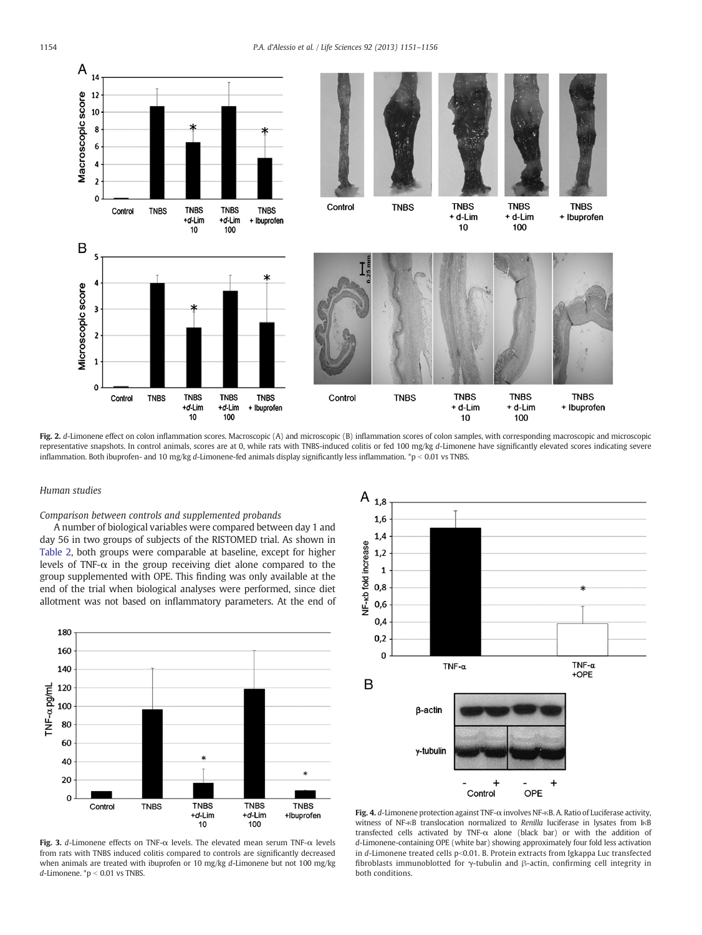<span id="page-3-0"></span>

Fig. 2. d-Limonene effect on colon inflammation scores. Macroscopic (A) and microscopic (B) inflammation scores of colon samples, with corresponding macroscopic and microscopic representative snapshots. In control animals, scores are at 0, while rats with TNBS-induced colitis or fed 100 mg/kg d-Limonene have significantly elevated scores indicating severe inflammation. Both ibuprofen- and 10 mg/kg d-Limonene-fed animals display significantly less inflammation.  $p < 0.01$  vs TNBS.

# Human studies

Comparison between controls and supplemented probands

A number of biological variables were compared between day 1 and day 56 in two groups of subjects of the RISTOMED trial. As shown in [Table 2](#page-4-0), both groups were comparable at baseline, except for higher levels of TNF- $\alpha$  in the group receiving diet alone compared to the group supplemented with OPE. This finding was only available at the end of the trial when biological analyses were performed, since diet allotment was not based on inflammatory parameters. At the end of



Fig. 3. d-Limonene effects on TNF- $\alpha$  levels. The elevated mean serum TNF- $\alpha$  levels from rats with TNBS induced colitis compared to controls are significantly decreased when animals are treated with ibuprofen or 10 mg/kg d-Limonene but not 100 mg/kg d-Limonene.  $p < 0.01$  vs TNBS.



Fig. 4. d-Limonene protection against TNF-α involves NF-κB. A. Ratio of Luciferase activity, witness of NF-κB translocation normalized to Renilla luciferase in lysates from IκB transfected cells activated by TNF-α alone (black bar) or with the addition of d-Limonene-containing OPE (white bar) showing approximately four fold less activation in d-Limonene treated cells  $p<0.01$ . B. Protein extracts from Igkappa Luc transfected fibroblasts immunoblotted for γ-tubulin and β-actin, confirming cell integrity in both conditions.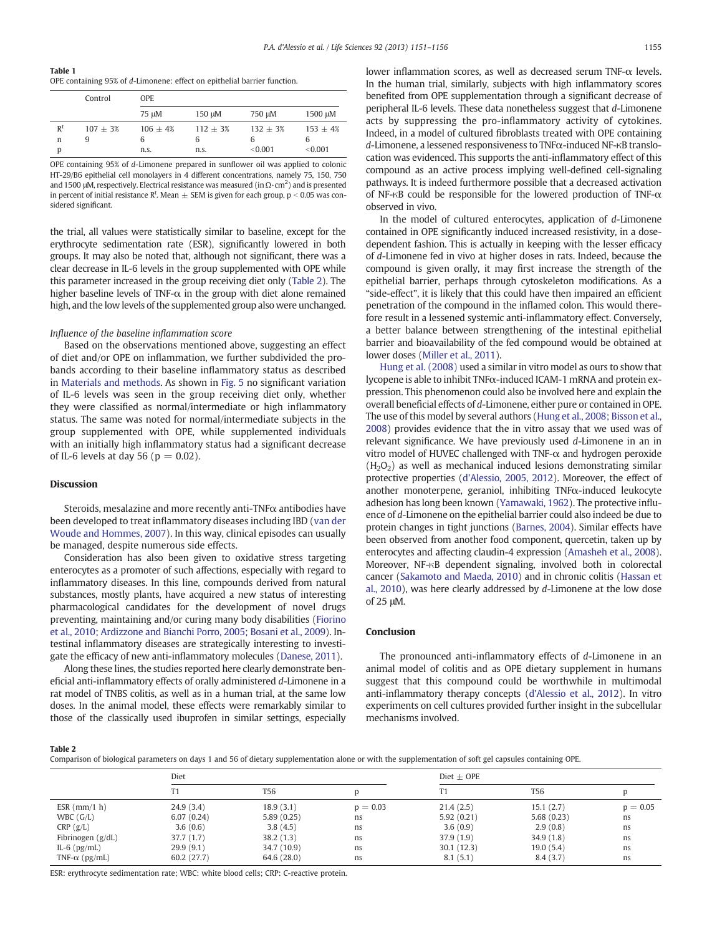<span id="page-4-0"></span>Table 1 OPE containing 95% of d-Limonene: effect on epithelial barrier function.

|       | Control    | <b>OPE</b> |            |            |            |  |  |
|-------|------------|------------|------------|------------|------------|--|--|
|       |            | 75 uM      | 150 µM     | 750 µM     | 1500 µM    |  |  |
| $R^t$ | $107 + 3%$ | $106 + 4%$ | $112 + 3%$ | $132 + 3%$ | $153 + 4%$ |  |  |
| n     | 9          | 6          | 6          | 6          |            |  |  |
| D     |            | n.s.       | n.s.       | < 0.001    | < 0.001    |  |  |

OPE containing 95% of d-Limonene prepared in sunflower oil was applied to colonic HT-29/B6 epithelial cell monolayers in 4 different concentrations, namely 75, 150, 750 and 1500 µM, respectively. Electrical resistance was measured (in  $\Omega\!\cdot\!{\rm cm}^2$ ) and is presented in percent of initial resistance R<sup>t</sup>. Mean  $\pm$  SEM is given for each group, p < 0.05 was considered significant.

the trial, all values were statistically similar to baseline, except for the erythrocyte sedimentation rate (ESR), significantly lowered in both groups. It may also be noted that, although not significant, there was a clear decrease in IL-6 levels in the group supplemented with OPE while this parameter increased in the group receiving diet only (Table 2). The higher baseline levels of TNF- $\alpha$  in the group with diet alone remained high, and the low levels of the supplemented group also were unchanged.

# Influence of the baseline inflammation score

Based on the observations mentioned above, suggesting an effect of diet and/or OPE on inflammation, we further subdivided the probands according to their baseline inflammatory status as described in [Materials and methods](#page-1-0). As shown in [Fig. 5](#page-5-0) no significant variation of IL-6 levels was seen in the group receiving diet only, whether they were classified as normal/intermediate or high inflammatory status. The same was noted for normal/intermediate subjects in the group supplemented with OPE, while supplemented individuals with an initially high inflammatory status had a significant decrease of IL-6 levels at day 56 ( $p = 0.02$ ).

# Discussion

Steroids, mesalazine and more recently anti-TNF $\alpha$  antibodies have been developed to treat inflammatory diseases including IBD ([van der](#page-5-0) [Woude and Hommes, 2007\)](#page-5-0). In this way, clinical episodes can usually be managed, despite numerous side effects.

Consideration has also been given to oxidative stress targeting enterocytes as a promoter of such affections, especially with regard to inflammatory diseases. In this line, compounds derived from natural substances, mostly plants, have acquired a new status of interesting pharmacological candidates for the development of novel drugs preventing, maintaining and/or curing many body disabilities [\(Fiorino](#page-5-0) [et al., 2010; Ardizzone and Bianchi Porro, 2005; Bosani et al., 2009](#page-5-0)). Intestinal inflammatory diseases are strategically interesting to investigate the efficacy of new anti-inflammatory molecules [\(Danese, 2011](#page-5-0)).

Along these lines, the studies reported here clearly demonstrate beneficial anti-inflammatory effects of orally administered d-Limonene in a rat model of TNBS colitis, as well as in a human trial, at the same low doses. In the animal model, these effects were remarkably similar to those of the classically used ibuprofen in similar settings, especially lower inflammation scores, as well as decreased serum TNF- $α$  levels. In the human trial, similarly, subjects with high inflammatory scores benefited from OPE supplementation through a significant decrease of peripheral IL-6 levels. These data nonetheless suggest that d-Limonene acts by suppressing the pro-inflammatory activity of cytokines. Indeed, in a model of cultured fibroblasts treated with OPE containing d-Limonene, a lessened responsiveness to TNFα-induced NF-κB translocation was evidenced. This supports the anti-inflammatory effect of this compound as an active process implying well-defined cell-signaling pathways. It is indeed furthermore possible that a decreased activation of NF- $\kappa$ B could be responsible for the lowered production of TNF- $\alpha$ observed in vivo.

In the model of cultured enterocytes, application of d-Limonene contained in OPE significantly induced increased resistivity, in a dosedependent fashion. This is actually in keeping with the lesser efficacy of d-Limonene fed in vivo at higher doses in rats. Indeed, because the compound is given orally, it may first increase the strength of the epithelial barrier, perhaps through cytoskeleton modifications. As a "side-effect", it is likely that this could have then impaired an efficient penetration of the compound in the inflamed colon. This would therefore result in a lessened systemic anti-inflammatory effect. Conversely, a better balance between strengthening of the intestinal epithelial barrier and bioavailability of the fed compound would be obtained at lower doses ([Miller et al., 2011\)](#page-5-0).

[Hung et al. \(2008\)](#page-5-0) used a similar in vitro model as ours to show that lycopene is able to inhibit TNFα-induced ICAM-1 mRNA and protein expression. This phenomenon could also be involved here and explain the overall beneficial effects of d-Limonene, either pure or contained in OPE. The use of this model by several authors ([Hung et al., 2008; Bisson et al.,](#page-5-0) [2008](#page-5-0)) provides evidence that the in vitro assay that we used was of relevant significance. We have previously used d-Limonene in an in vitro model of HUVEC challenged with TNF-α and hydrogen peroxide  $(H<sub>2</sub>O<sub>2</sub>)$  as well as mechanical induced lesions demonstrating similar protective properties ([d'Alessio, 2005, 2012](#page-5-0)). Moreover, the effect of another monoterpene, geraniol, inhibiting TNFα-induced leukocyte adhesion has long been known [\(Yamawaki, 1962\)](#page-5-0). The protective influence of d-Limonene on the epithelial barrier could also indeed be due to protein changes in tight junctions ([Barnes, 2004\)](#page-5-0). Similar effects have been observed from another food component, quercetin, taken up by enterocytes and affecting claudin-4 expression [\(Amasheh et al., 2008](#page-5-0)). Moreover, NF-κB dependent signaling, involved both in colorectal cancer ([Sakamoto and Maeda, 2010](#page-5-0)) and in chronic colitis ([Hassan et](#page-5-0) [al., 2010\)](#page-5-0), was here clearly addressed by d-Limonene at the low dose of 25 μM.

#### Conclusion

The pronounced anti-inflammatory effects of d-Limonene in an animal model of colitis and as OPE dietary supplement in humans suggest that this compound could be worthwhile in multimodal anti-inflammatory therapy concepts [\(d'Alessio et al., 2012](#page-5-0)). In vitro experiments on cell cultures provided further insight in the subcellular mechanisms involved.

Table 2

Comparison of biological parameters on days 1 and 56 of dietary supplementation alone or with the supplementation of soft gel capsules containing OPE.

|                       | Diet       |             |            | Diet $\pm$ OPE |            |            |
|-----------------------|------------|-------------|------------|----------------|------------|------------|
|                       |            | T56         |            | Τ1             | T56        |            |
| $ESR$ (mm/1 h)        | 24.9(3.4)  | 18.9(3.1)   | $p = 0.03$ | 21.4(2.5)      | 15.1(2.7)  | $p = 0.05$ |
| WBC $(G/L)$           | 6.07(0.24) | 5.89(0.25)  | ns         | 5.92(0.21)     | 5.68(0.23) | ns         |
| CRP(g/L)              | 3.6(0.6)   | 3.8(4.5)    | ns.        | 3.6(0.9)       | 2.9(0.8)   | ns         |
| Fibrinogen $(g/dL)$   | 37.7(1.7)  | 38.2(1.3)   | ns         | 37.9(1.9)      | 34.9(1.8)  | ns         |
| IL-6 $(pg/mL)$        | 29.9(9.1)  | 34.7 (10.9) | ns         | 30.1(12.3)     | 19.0(5.4)  | ns         |
| TNF- $\alpha$ (pg/mL) | 60.2(27.7) | 64.6 (28.0) | ns         | 8.1(5.1)       | 8.4(3.7)   | ns         |

ESR: erythrocyte sedimentation rate; WBC: white blood cells; CRP: C-reactive protein.